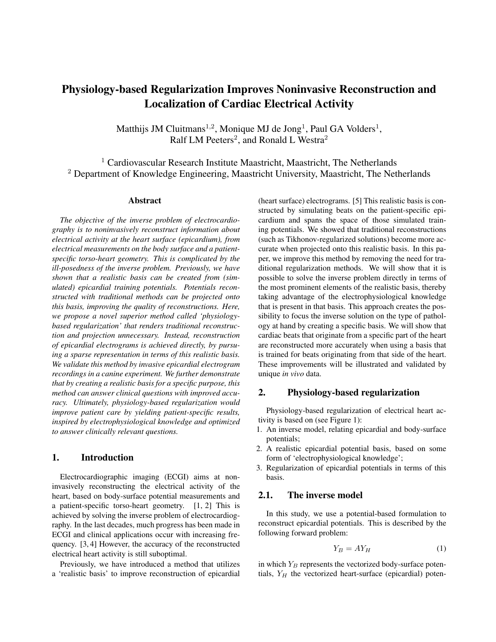# Physiology-based Regularization Improves Noninvasive Reconstruction and Localization of Cardiac Electrical Activity

Matthijs JM Cluitmans<sup>1,2</sup>, Monique MJ de Jong<sup>1</sup>, Paul GA Volders<sup>1</sup>, Ralf LM Peeters<sup>2</sup>, and Ronald L Westra<sup>2</sup>

<sup>1</sup> Cardiovascular Research Institute Maastricht, Maastricht, The Netherlands <sup>2</sup> Department of Knowledge Engineering, Maastricht University, Maastricht, The Netherlands

#### Abstract

*The objective of the inverse problem of electrocardiography is to noninvasively reconstruct information about electrical activity at the heart surface (epicardium), from electrical measurements on the body surface and a patientspecific torso-heart geometry. This is complicated by the ill-posedness of the inverse problem. Previously, we have shown that a realistic basis can be created from (simulated) epicardial training potentials. Potentials reconstructed with traditional methods can be projected onto this basis, improving the quality of reconstructions. Here, we propose a novel superior method called 'physiologybased regularization' that renders traditional reconstruction and projection unnecessary. Instead, reconstruction of epicardial electrograms is achieved directly, by pursuing a sparse representation in terms of this realistic basis. We validate this method by invasive epicardial electrogram recordings in a canine experiment. We further demonstrate that by creating a realistic basis for a specific purpose, this method can answer clinical questions with improved accuracy. Ultimately, physiology-based regularization would improve patient care by yielding patient-specific results, inspired by electrophysiological knowledge and optimized to answer clinically relevant questions.*

# 1. Introduction

Electrocardiographic imaging (ECGI) aims at noninvasively reconstructing the electrical activity of the heart, based on body-surface potential measurements and a patient-specific torso-heart geometry. [1, 2] This is achieved by solving the inverse problem of electrocardiography. In the last decades, much progress has been made in ECGI and clinical applications occur with increasing frequency. [3, 4] However, the accuracy of the reconstructed electrical heart activity is still suboptimal.

Previously, we have introduced a method that utilizes a 'realistic basis' to improve reconstruction of epicardial (heart surface) electrograms. [5] This realistic basis is constructed by simulating beats on the patient-specific epicardium and spans the space of those simulated training potentials. We showed that traditional reconstructions (such as Tikhonov-regularized solutions) become more accurate when projected onto this realistic basis. In this paper, we improve this method by removing the need for traditional regularization methods. We will show that it is possible to solve the inverse problem directly in terms of the most prominent elements of the realistic basis, thereby taking advantage of the electrophysiological knowledge that is present in that basis. This approach creates the possibility to focus the inverse solution on the type of pathology at hand by creating a specific basis. We will show that cardiac beats that originate from a specific part of the heart are reconstructed more accurately when using a basis that is trained for beats originating from that side of the heart. These improvements will be illustrated and validated by unique *in vivo* data.

### 2. Physiology-based regularization

Physiology-based regularization of electrical heart activity is based on (see Figure 1):

- 1. An inverse model, relating epicardial and body-surface potentials;
- 2. A realistic epicardial potential basis, based on some form of 'electrophysiological knowledge';
- 3. Regularization of epicardial potentials in terms of this basis.

# 2.1. The inverse model

In this study, we use a potential-based formulation to reconstruct epicardial potentials. This is described by the following forward problem:

$$
Y_B = A Y_H \tag{1}
$$

in which  $Y_B$  represents the vectorized body-surface potentials,  $Y_H$  the vectorized heart-surface (epicardial) poten-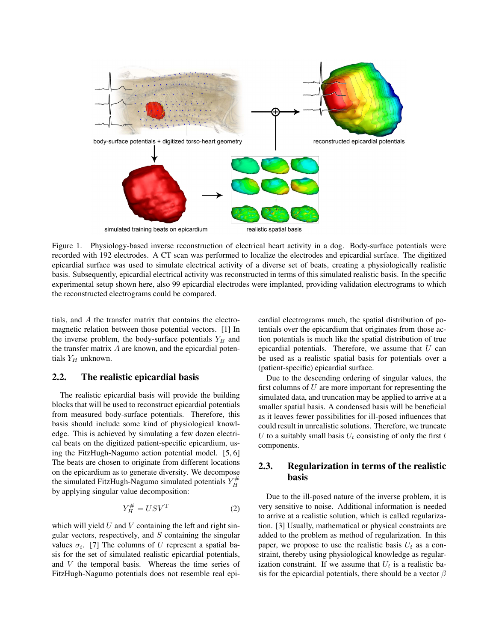

Figure 1. Physiology-based inverse reconstruction of electrical heart activity in a dog. Body-surface potentials were recorded with 192 electrodes. A CT scan was performed to localize the electrodes and epicardial surface. The digitized epicardial surface was used to simulate electrical activity of a diverse set of beats, creating a physiologically realistic basis. Subsequently, epicardial electrical activity was reconstructed in terms of this simulated realistic basis. In the specific experimental setup shown here, also 99 epicardial electrodes were implanted, providing validation electrograms to which the reconstructed electrograms could be compared.

tials, and A the transfer matrix that contains the electromagnetic relation between those potential vectors. [1] In the inverse problem, the body-surface potentials  $Y_B$  and the transfer matrix  $A$  are known, and the epicardial potentials  $Y_H$  unknown.

# 2.2. The realistic epicardial basis

The realistic epicardial basis will provide the building blocks that will be used to reconstruct epicardial potentials from measured body-surface potentials. Therefore, this basis should include some kind of physiological knowledge. This is achieved by simulating a few dozen electrical beats on the digitized patient-specific epicardium, using the FitzHugh-Nagumo action potential model. [5, 6] The beats are chosen to originate from different locations on the epicardium as to generate diversity. We decompose the simulated FitzHugh-Nagumo simulated potentials  $Y_H^{\#}$ by applying singular value decomposition:

$$
Y_H^{\#} = USV^{\mathrm{T}}
$$
 (2)

which will yield  $U$  and  $V$  containing the left and right singular vectors, respectively, and  $S$  containing the singular values  $\sigma_i$ . [7] The columns of U represent a spatial basis for the set of simulated realistic epicardial potentials, and V the temporal basis. Whereas the time series of FitzHugh-Nagumo potentials does not resemble real epicardial electrograms much, the spatial distribution of potentials over the epicardium that originates from those action potentials is much like the spatial distribution of true epicardial potentials. Therefore, we assume that  $U$  can be used as a realistic spatial basis for potentials over a (patient-specific) epicardial surface.

Due to the descending ordering of singular values, the first columns of  $U$  are more important for representing the simulated data, and truncation may be applied to arrive at a smaller spatial basis. A condensed basis will be beneficial as it leaves fewer possibilities for ill-posed influences that could result in unrealistic solutions. Therefore, we truncate U to a suitably small basis  $U_t$  consisting of only the first t components.

# 2.3. Regularization in terms of the realistic basis

Due to the ill-posed nature of the inverse problem, it is very sensitive to noise. Additional information is needed to arrive at a realistic solution, which is called regularization. [3] Usually, mathematical or physical constraints are added to the problem as method of regularization. In this paper, we propose to use the realistic basis  $U_t$  as a constraint, thereby using physiological knowledge as regularization constraint. If we assume that  $U_t$  is a realistic basis for the epicardial potentials, there should be a vector  $\beta$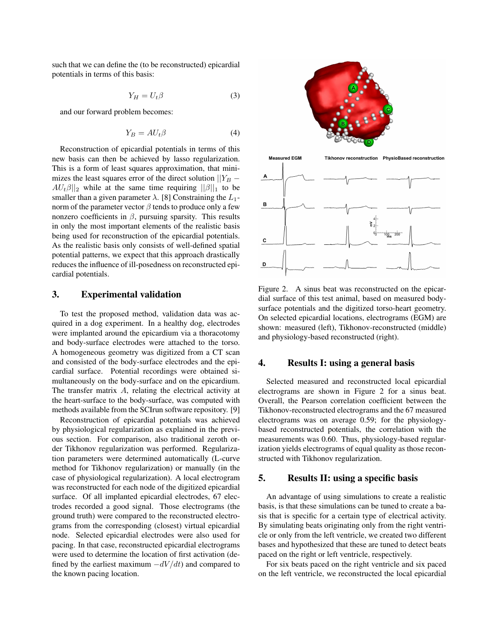such that we can define the (to be reconstructed) epicardial potentials in terms of this basis:

$$
Y_H = U_t \beta \tag{3}
$$

and our forward problem becomes:

$$
Y_B = AU_t \beta \tag{4}
$$

Reconstruction of epicardial potentials in terms of this new basis can then be achieved by lasso regularization. This is a form of least squares approximation, that minimizes the least squares error of the direct solution  $||Y_B AU_t\beta||_2$  while at the same time requiring  $||\beta||_1$  to be smaller than a given parameter  $\lambda$ . [8] Constraining the  $L_1$ norm of the parameter vector  $\beta$  tends to produce only a few nonzero coefficients in  $β$ , pursuing sparsity. This results in only the most important elements of the realistic basis being used for reconstruction of the epicardial potentials. As the realistic basis only consists of well-defined spatial potential patterns, we expect that this approach drastically reduces the influence of ill-posedness on reconstructed epicardial potentials.

# 3. Experimental validation

To test the proposed method, validation data was acquired in a dog experiment. In a healthy dog, electrodes were implanted around the epicardium via a thoracotomy and body-surface electrodes were attached to the torso. A homogeneous geometry was digitized from a CT scan and consisted of the body-surface electrodes and the epicardial surface. Potential recordings were obtained simultaneously on the body-surface and on the epicardium. The transfer matrix A, relating the electrical activity at the heart-surface to the body-surface, was computed with methods available from the SCIrun software repository. [9]

Reconstruction of epicardial potentials was achieved by physiological regularization as explained in the previous section. For comparison, also traditional zeroth order Tikhonov regularization was performed. Regularization parameters were determined automatically (L-curve method for Tikhonov regularization) or manually (in the case of physiological regularization). A local electrogram was reconstructed for each node of the digitized epicardial surface. Of all implanted epicardial electrodes, 67 electrodes recorded a good signal. Those electrograms (the ground truth) were compared to the reconstructed electrograms from the corresponding (closest) virtual epicardial node. Selected epicardial electrodes were also used for pacing. In that case, reconstructed epicardial electrograms were used to determine the location of first activation (defined by the earliest maximum  $-dV/dt$ ) and compared to the known pacing location.



Figure 2. A sinus beat was reconstructed on the epicardial surface of this test animal, based on measured bodysurface potentials and the digitized torso-heart geometry. On selected epicardial locations, electrograms (EGM) are shown: measured (left), Tikhonov-reconstructed (middle) and physiology-based reconstructed (right).

# 4. Results I: using a general basis

Selected measured and reconstructed local epicardial electrograms are shown in Figure 2 for a sinus beat. Overall, the Pearson correlation coefficient between the Tikhonov-reconstructed electrograms and the 67 measured electrograms was on average 0.59; for the physiologybased reconstructed potentials, the correlation with the measurements was 0.60. Thus, physiology-based regularization yields electrograms of equal quality as those reconstructed with Tikhonov regularization.

#### 5. Results II: using a specific basis

An advantage of using simulations to create a realistic basis, is that these simulations can be tuned to create a basis that is specific for a certain type of electrical activity. By simulating beats originating only from the right ventricle or only from the left ventricle, we created two different bases and hypothesized that these are tuned to detect beats paced on the right or left ventricle, respectively.

For six beats paced on the right ventricle and six paced on the left ventricle, we reconstructed the local epicardial